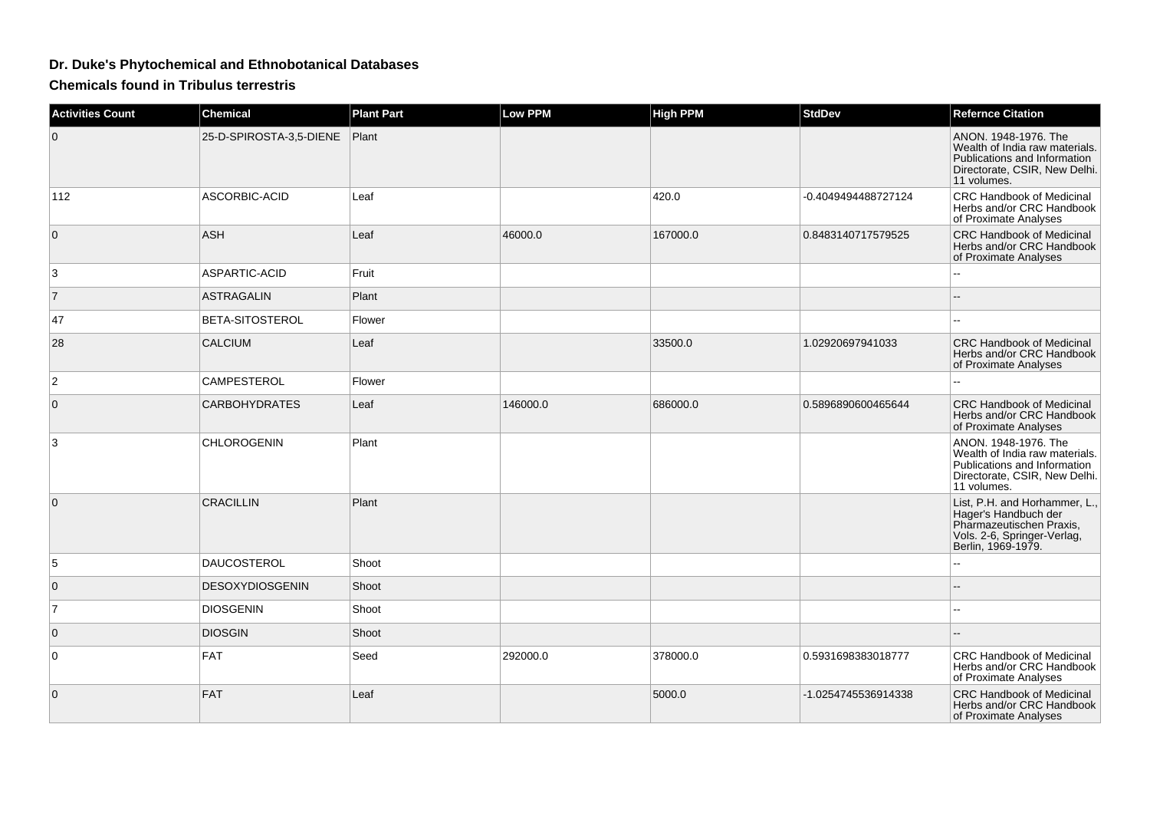## **Dr. Duke's Phytochemical and Ethnobotanical Databases**

**Chemicals found in Tribulus terrestris**

| <b>Activities Count</b> | Chemical                | <b>Plant Part</b> | <b>Low PPM</b> | <b>High PPM</b> | <b>StdDev</b>       | <b>Refernce Citation</b>                                                                                                               |
|-------------------------|-------------------------|-------------------|----------------|-----------------|---------------------|----------------------------------------------------------------------------------------------------------------------------------------|
| $\overline{0}$          | 25-D-SPIROSTA-3,5-DIENE | Plant             |                |                 |                     | ANON. 1948-1976. The<br>Wealth of India raw materials.<br>Publications and Information<br>Directorate, CSIR, New Delhi.<br>11 volumes. |
| 112                     | ASCORBIC-ACID           | Leaf              |                | 420.0           | -0.4049494488727124 | CRC Handbook of Medicinal<br>Herbs and/or CRC Handbook<br>of Proximate Analyses                                                        |
| $\mathbf 0$             | <b>ASH</b>              | Leaf              | 46000.0        | 167000.0        | 0.8483140717579525  | <b>CRC Handbook of Medicinal</b><br>Herbs and/or CRC Handbook<br>of Proximate Analyses                                                 |
| 3                       | ASPARTIC-ACID           | Fruit             |                |                 |                     |                                                                                                                                        |
| $\overline{7}$          | <b>ASTRAGALIN</b>       | Plant             |                |                 |                     |                                                                                                                                        |
| 47                      | BETA-SITOSTEROL         | Flower            |                |                 |                     |                                                                                                                                        |
| 28                      | <b>CALCIUM</b>          | Leaf              |                | 33500.0         | 1.02920697941033    | <b>CRC Handbook of Medicinal</b><br>Herbs and/or CRC Handbook<br>of Proximate Analyses                                                 |
| $\overline{2}$          | <b>CAMPESTEROL</b>      | Flower            |                |                 |                     |                                                                                                                                        |
| $\mathbf{0}$            | <b>CARBOHYDRATES</b>    | Leaf              | 146000.0       | 686000.0        | 0.5896890600465644  | <b>CRC Handbook of Medicinal</b><br>Herbs and/or CRC Handbook<br>of Proximate Analyses                                                 |
| 3                       | <b>CHLOROGENIN</b>      | Plant             |                |                 |                     | ANON, 1948-1976, The<br>Wealth of India raw materials.<br>Publications and Information<br>Directorate, CSIR, New Delhi.<br>11 volumes. |
| $\mathbf 0$             | <b>CRACILLIN</b>        | Plant             |                |                 |                     | List, P.H. and Horhammer, L.,<br>Hager's Handbuch der<br>Pharmazeutischen Praxis,<br>Vols. 2-6, Springer-Verlag,<br>Berlin, 1969-1979. |
| 5                       | <b>DAUCOSTEROL</b>      | Shoot             |                |                 |                     |                                                                                                                                        |
| $\mathbf 0$             | <b>DESOXYDIOSGENIN</b>  | Shoot             |                |                 |                     |                                                                                                                                        |
| $\overline{7}$          | <b>DIOSGENIN</b>        | Shoot             |                |                 |                     |                                                                                                                                        |
| $\mathbf 0$             | <b>DIOSGIN</b>          | Shoot             |                |                 |                     |                                                                                                                                        |
| 0                       | <b>FAT</b>              | Seed              | 292000.0       | 378000.0        | 0.5931698383018777  | <b>CRC Handbook of Medicinal</b><br>Herbs and/or CRC Handbook<br>of Proximate Analyses                                                 |
| $\mathbf 0$             | <b>FAT</b>              | Leaf              |                | 5000.0          | -1.0254745536914338 | <b>CRC Handbook of Medicinal</b><br>Herbs and/or CRC Handbook<br>of Proximate Analyses                                                 |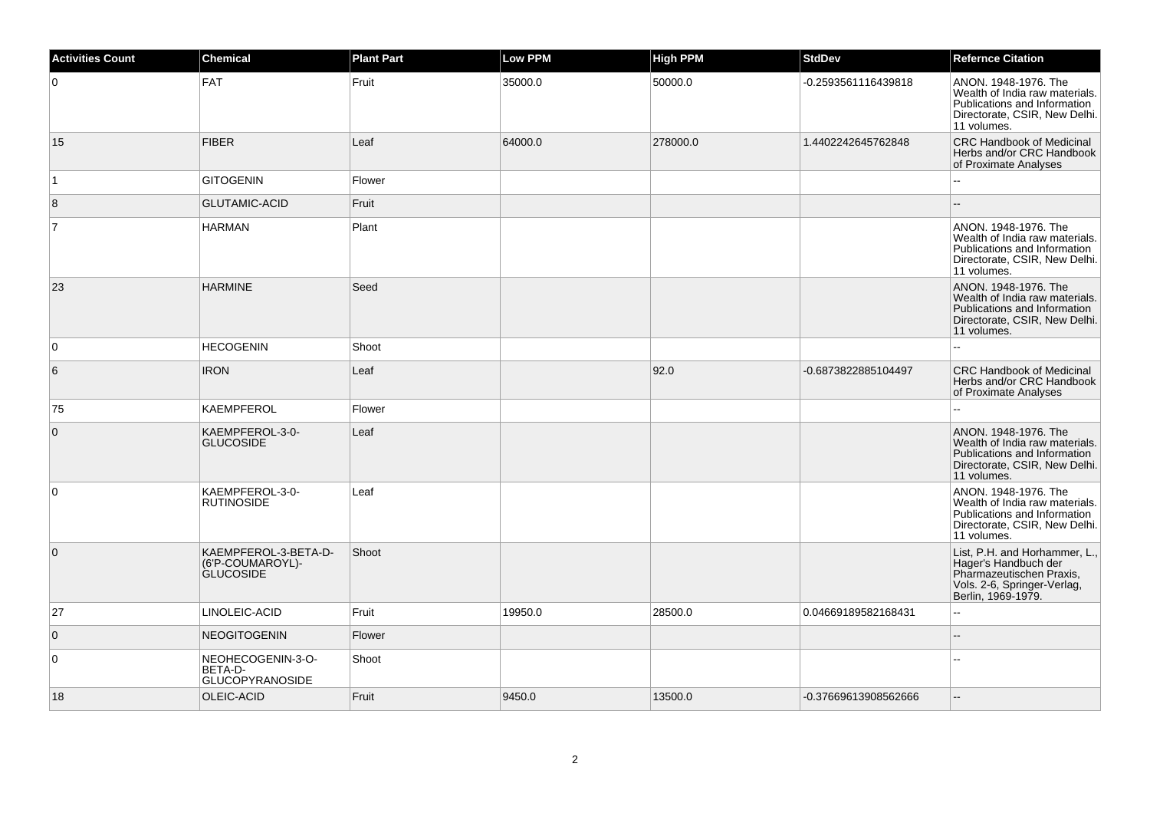| <b>Activities Count</b> | <b>Chemical</b>                                              | <b>Plant Part</b> | <b>Low PPM</b> | High PPM | <b>StdDev</b>        | <b>Refernce Citation</b>                                                                                                               |
|-------------------------|--------------------------------------------------------------|-------------------|----------------|----------|----------------------|----------------------------------------------------------------------------------------------------------------------------------------|
| 0                       | <b>FAT</b>                                                   | Fruit             | 35000.0        | 50000.0  | -0.2593561116439818  | ANON. 1948-1976. The<br>Wealth of India raw materials.<br>Publications and Information<br>Directorate, CSIR, New Delhi.<br>11 volumes. |
| 15                      | <b>FIBER</b>                                                 | Leaf              | 64000.0        | 278000.0 | 1.4402242645762848   | <b>CRC Handbook of Medicinal</b><br>Herbs and/or CRC Handbook<br>of Proximate Analyses                                                 |
| $\overline{1}$          | <b>GITOGENIN</b>                                             | Flower            |                |          |                      |                                                                                                                                        |
| 8                       | <b>GLUTAMIC-ACID</b>                                         | Fruit             |                |          |                      |                                                                                                                                        |
| $\overline{7}$          | <b>HARMAN</b>                                                | Plant             |                |          |                      | ANON. 1948-1976. The<br>Wealth of India raw materials.<br>Publications and Information<br>Directorate, CSIR, New Delhi.<br>11 volumes. |
| 23                      | <b>HARMINE</b>                                               | Seed              |                |          |                      | ANON. 1948-1976. The<br>Wealth of India raw materials.<br>Publications and Information<br>Directorate, CSIR, New Delhi.<br>11 volumes. |
| 0                       | <b>HECOGENIN</b>                                             | Shoot             |                |          |                      |                                                                                                                                        |
| 6                       | <b>IRON</b>                                                  | Leaf              |                | 92.0     | -0.6873822885104497  | <b>CRC Handbook of Medicinal</b><br>Herbs and/or CRC Handbook<br>of Proximate Analyses                                                 |
| 75                      | <b>KAEMPFEROL</b>                                            | Flower            |                |          |                      |                                                                                                                                        |
| $\overline{0}$          | KAEMPFEROL-3-0-<br><b>GLUCOSIDE</b>                          | Leaf              |                |          |                      | ANON, 1948-1976. The<br>Wealth of India raw materials.<br>Publications and Information<br>Directorate, CSIR, New Delhi.<br>11 volumes. |
| $\overline{0}$          | KAEMPFEROL-3-0-<br><b>RUTINOSIDE</b>                         | Leaf              |                |          |                      | ANON. 1948-1976. The<br>Wealth of India raw materials.<br>Publications and Information<br>Directorate, CSIR, New Delhi.<br>11 volumes. |
| $\overline{0}$          | KAEMPFEROL-3-BETA-D-<br>(6'P-COUMAROYL)-<br><b>GLUCOSIDE</b> | Shoot             |                |          |                      | List, P.H. and Horhammer, L.,<br>Hager's Handbuch der<br>Pharmazeutischen Praxis,<br>Vols. 2-6, Springer-Verlag,<br>Berlin, 1969-1979. |
| 27                      | LINOLEIC-ACID                                                | Fruit             | 19950.0        | 28500.0  | 0.04669189582168431  | $\sim$                                                                                                                                 |
| $\overline{0}$          | <b>NEOGITOGENIN</b>                                          | Flower            |                |          |                      |                                                                                                                                        |
| 0                       | NEOHECOGENIN-3-O-<br>BETA-D-<br><b>GLUCOPYRANOSIDE</b>       | Shoot             |                |          |                      |                                                                                                                                        |
| 18                      | OLEIC-ACID                                                   | Fruit             | 9450.0         | 13500.0  | -0.37669613908562666 |                                                                                                                                        |